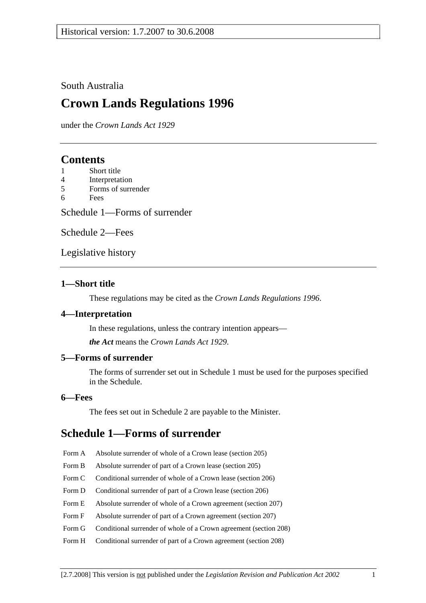### South Australia

# **Crown Lands Regulations 1996**

under the *Crown Lands Act 1929*

# **Contents**

- 1 Short title
- 4 Interpretation
- 5 Forms of surrender
- 6 Fees

Schedule 1—Forms of surrender

Schedule 2—Fees

Legislative history

### **1—Short title**

These regulations may be cited as the *Crown Lands Regulations 1996*.

### **4—Interpretation**

In these regulations, unless the contrary intention appears—

*the Act* means the *Crown Lands Act 1929*.

### **5—Forms of surrender**

The forms of surrender set out in Schedule 1 must be used for the purposes specified in the Schedule.

#### **6—Fees**

The fees set out in Schedule 2 are payable to the Minister.

# **Schedule 1—Forms of surrender**

- Form A Absolute surrender of whole of a Crown lease (section 205)
- Form B Absolute surrender of part of a Crown lease (section 205)
- Form C Conditional surrender of whole of a Crown lease (section 206)
- Form D Conditional surrender of part of a Crown lease (section 206)
- Form E Absolute surrender of whole of a Crown agreement (section 207)
- Form F Absolute surrender of part of a Crown agreement (section 207)
- Form G Conditional surrender of whole of a Crown agreement (section 208)
- Form H Conditional surrender of part of a Crown agreement (section 208)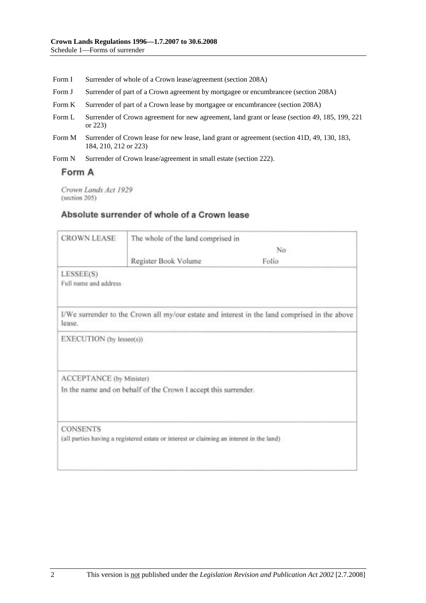- Form I Surrender of whole of a Crown lease/agreement (section 208A)
- Form J Surrender of part of a Crown agreement by mortgagee or encumbrancee (section 208A)
- Form K Surrender of part of a Crown lease by mortgagee or encumbrancee (section 208A)
- Form L Surrender of Crown agreement for new agreement, land grant or lease (section 49, 185, 199, 221 or 223)
- Form M Surrender of Crown lease for new lease, land grant or agreement (section 41D, 49, 130, 183, 184, 210, 212 or 223)
- Form N Surrender of Crown lease/agreement in small estate (section 222).

## Form A

Crown Lands Act 1929 (section 205)

### Absolute surrender of whole of a Crown lease

| <b>CROWN LEASE</b>                 | The whole of the land comprised in                                                       |                                                                                               |  |
|------------------------------------|------------------------------------------------------------------------------------------|-----------------------------------------------------------------------------------------------|--|
|                                    | No                                                                                       |                                                                                               |  |
|                                    | Register Book Volume                                                                     | Folio                                                                                         |  |
| LESSEE(S)<br>Full name and address |                                                                                          |                                                                                               |  |
| lease.                             |                                                                                          | I/We surrender to the Crown all my/our estate and interest in the land comprised in the above |  |
| EXECUTION (by lessee(s))           |                                                                                          |                                                                                               |  |
| ACCEPTANCE (by Minister)           |                                                                                          |                                                                                               |  |
|                                    | In the name and on behalf of the Crown I accept this surrender.                          |                                                                                               |  |
| <b>CONSENTS</b>                    | (all parties having a registered estate or interest or claiming an interest in the land) |                                                                                               |  |
|                                    |                                                                                          |                                                                                               |  |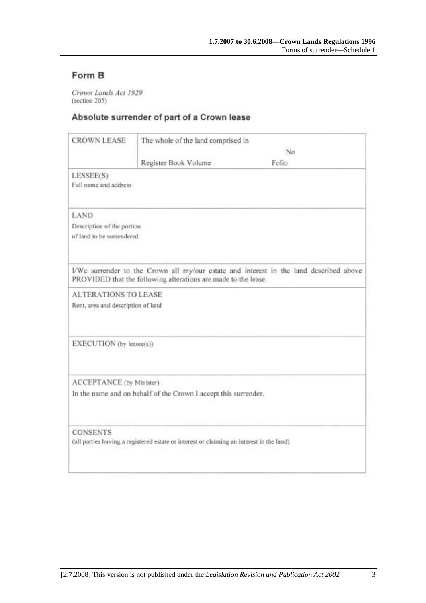# Form B

Crown Lands Act 1929 (section 205)

## Absolute surrender of part of a Crown lease

| <b>CROWN LEASE</b>                 | The whole of the land comprised in                                                       |                                                                                        |
|------------------------------------|------------------------------------------------------------------------------------------|----------------------------------------------------------------------------------------|
|                                    | No                                                                                       |                                                                                        |
|                                    | Register Book Volume                                                                     | Folio                                                                                  |
| LESSEE(S)<br>Full name and address |                                                                                          |                                                                                        |
| LAND                               |                                                                                          |                                                                                        |
| Description of the portion         |                                                                                          |                                                                                        |
| of land to be surrendered          |                                                                                          |                                                                                        |
|                                    |                                                                                          |                                                                                        |
|                                    | PROVIDED that the following alterations are made to the lease.                           | I/We surrender to the Crown all my/our estate and interest in the land described above |
| <b>ALTERATIONS TO LEASE</b>        |                                                                                          |                                                                                        |
| Rent, area and description of land |                                                                                          |                                                                                        |
|                                    |                                                                                          |                                                                                        |
| EXECUTION (by lessee(s))           |                                                                                          |                                                                                        |
| ACCEPTANCE (by Minister)           |                                                                                          |                                                                                        |
|                                    | In the name and on behalf of the Crown I accept this surrender.                          |                                                                                        |
| <b>CONSENTS</b>                    |                                                                                          |                                                                                        |
|                                    | (all parties having a registered estate or interest or claiming an interest in the land) |                                                                                        |
|                                    |                                                                                          |                                                                                        |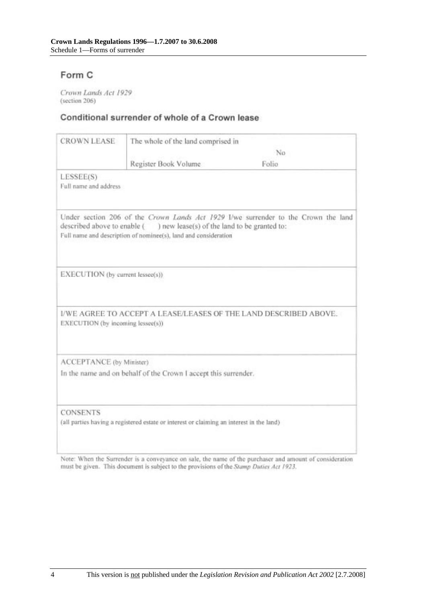# Form C

Crown Lands Act 1929 (section 206)

### Conditional surrender of whole of a Crown lease

| <b>CROWN LEASE</b>                                                                                          | The whole of the land comprised in                                                                                                         |                                                                                    |
|-------------------------------------------------------------------------------------------------------------|--------------------------------------------------------------------------------------------------------------------------------------------|------------------------------------------------------------------------------------|
|                                                                                                             | No                                                                                                                                         |                                                                                    |
|                                                                                                             | Register Book Volume                                                                                                                       | Folio.                                                                             |
| LESSEE(S)<br>Full name and address                                                                          |                                                                                                                                            |                                                                                    |
|                                                                                                             | described above to enable () new lease(s) of the land to be granted to:<br>Full name and description of nominee(s), land and consideration | Under section 206 of the Crown Lands Act 1929 I/we surrender to the Crown the land |
| EXECUTION (by current lessee(s))                                                                            |                                                                                                                                            |                                                                                    |
| EXECUTION (by incoming lessee(s))                                                                           |                                                                                                                                            | I/WE AGREE TO ACCEPT A LEASE/LEASES OF THE LAND DESCRIBED ABOVE.                   |
| ACCEPTANCE (by Minister)                                                                                    |                                                                                                                                            |                                                                                    |
|                                                                                                             | In the name and on behalf of the Crown I accept this surrender.                                                                            |                                                                                    |
| <b>CONSENTS</b><br>(all parties having a registered estate or interest or claiming an interest in the land) |                                                                                                                                            |                                                                                    |

Note: When the Surrender is a conveyance on sale, the name of the purchaser and amount of consideration must be given. This document is subject to the provisions of the Stamp Duties Act 1923.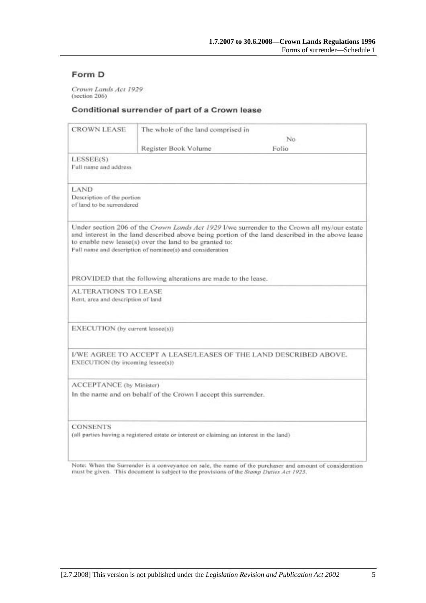### Form D

Crown Lands Act 1929 (section 206)

#### Conditional surrender of part of a Crown lease

| <b>CROWN LEASE</b>                                                                                          | The whole of the land comprised in                                                                                  |                                                                                                                                                                                                |
|-------------------------------------------------------------------------------------------------------------|---------------------------------------------------------------------------------------------------------------------|------------------------------------------------------------------------------------------------------------------------------------------------------------------------------------------------|
|                                                                                                             |                                                                                                                     | No.<br>Folio                                                                                                                                                                                   |
| LESSEE(S)<br>Full name and address                                                                          | Register Book Volume                                                                                                |                                                                                                                                                                                                |
| LAND.<br>Description of the portion<br>of land to be surrendered                                            |                                                                                                                     |                                                                                                                                                                                                |
|                                                                                                             | to enable new lease(s) over the land to be granted to:<br>Full name and description of nominee(s) and consideration | Under section 206 of the Crown Lands Act 1929 I/we surrender to the Crown all my/our estate<br>and interest in the land described above being portion of the land described in the above lease |
|                                                                                                             | PROVIDED that the following alterations are made to the lease.                                                      |                                                                                                                                                                                                |
| <b>ALTERATIONS TO LEASE</b><br>Rent, area and description of land                                           |                                                                                                                     |                                                                                                                                                                                                |
| EXECUTION (by current lessee(s))                                                                            |                                                                                                                     |                                                                                                                                                                                                |
| EXECUTION (by incoming lessee(s))                                                                           | I/WE AGREE TO ACCEPT A LEASE/LEASES OF THE LAND DESCRIBED ABOVE.                                                    |                                                                                                                                                                                                |
| ACCEPTANCE (by Minister)                                                                                    | In the name and on behalf of the Crown I accept this surrender.                                                     |                                                                                                                                                                                                |
| <b>CONSENTS</b><br>(all parties having a registered estate or interest or claiming an interest in the land) |                                                                                                                     |                                                                                                                                                                                                |

Note: When the Surrender is a conveyance on sale, the name of the purchaser and amount of consideration must be given. This document is subject to the provisions of the Stamp Duties Act 1923.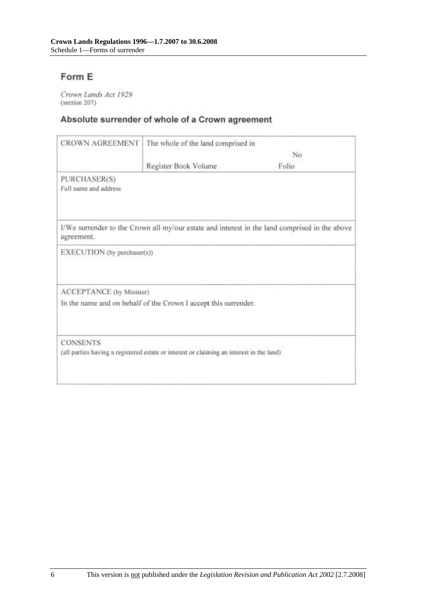# Form E

Crown Lands Act 1929 (section 207)

# Absolute surrender of whole of a Crown agreement

| <b>CROWN AGREEMENT</b>                | The whole of the land comprised in                                                       |                                                                                               |
|---------------------------------------|------------------------------------------------------------------------------------------|-----------------------------------------------------------------------------------------------|
|                                       | No                                                                                       |                                                                                               |
|                                       | Register Book Volume                                                                     | Folio                                                                                         |
| PURCHASER(S)<br>Full name and address |                                                                                          |                                                                                               |
| agreement.                            |                                                                                          | I/We surrender to the Crown all my/our estate and interest in the land comprised in the above |
| EXECUTION (by purchaser(s))           |                                                                                          |                                                                                               |
| ACCEPTANCE (by Minister)              |                                                                                          |                                                                                               |
|                                       | In the name and on behalf of the Crown I accept this surrender.                          |                                                                                               |
| <b>CONSENTS</b>                       |                                                                                          |                                                                                               |
|                                       | (all parties having a registered estate or interest or claiming an interest in the land) |                                                                                               |
|                                       |                                                                                          |                                                                                               |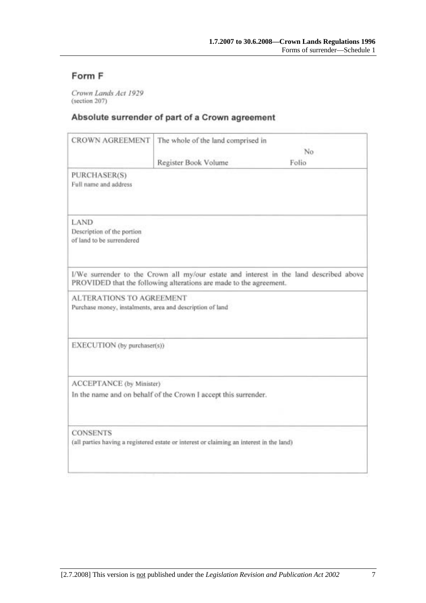# Form F

Crown Lands Act 1929 (section 207)

## Absolute surrender of part of a Crown agreement

| <b>CROWN AGREEMENT</b>                                                                       | The whole of the land comprised in                                 |                                                                                        |
|----------------------------------------------------------------------------------------------|--------------------------------------------------------------------|----------------------------------------------------------------------------------------|
|                                                                                              |                                                                    | No                                                                                     |
|                                                                                              | Register Book Volume                                               | Folio                                                                                  |
| PURCHASER(S)<br>Full name and address                                                        |                                                                    |                                                                                        |
| LAND<br>Description of the portion<br>of land to be surrendered                              |                                                                    |                                                                                        |
|                                                                                              | PROVIDED that the following alterations are made to the agreement. | I/We surrender to the Crown all my/our estate and interest in the land described above |
| <b>ALTERATIONS TO AGREEMENT</b><br>Purchase money, instalments, area and description of land |                                                                    |                                                                                        |
| EXECUTION (by purchaser(s))                                                                  |                                                                    |                                                                                        |
| ACCEPTANCE (by Minister)                                                                     |                                                                    |                                                                                        |
|                                                                                              | In the name and on behalf of the Crown I accept this surrender.    |                                                                                        |
| <b>CONSENTS</b>                                                                              |                                                                    |                                                                                        |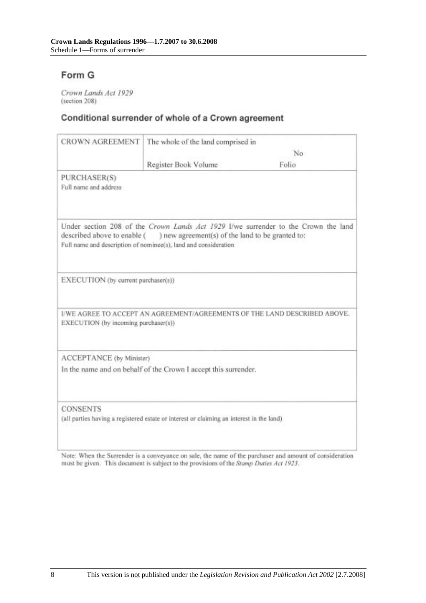# Form G

Crown Lands Act 1929 (section 208)

## Conditional surrender of whole of a Crown agreement

| The whole of the land comprised in               |                                                                                                                                                                                                                                                                                                      |
|--------------------------------------------------|------------------------------------------------------------------------------------------------------------------------------------------------------------------------------------------------------------------------------------------------------------------------------------------------------|
| No                                               |                                                                                                                                                                                                                                                                                                      |
|                                                  | Folio                                                                                                                                                                                                                                                                                                |
|                                                  |                                                                                                                                                                                                                                                                                                      |
| ) new agreement(s) of the land to be granted to: | Under section 208 of the Crown Lands Act 1929 I/we surrender to the Crown the land                                                                                                                                                                                                                   |
|                                                  |                                                                                                                                                                                                                                                                                                      |
|                                                  | I/WE AGREE TO ACCEPT AN AGREEMENT/AGREEMENTS OF THE LAND DESCRIBED ABOVE.                                                                                                                                                                                                                            |
|                                                  |                                                                                                                                                                                                                                                                                                      |
|                                                  |                                                                                                                                                                                                                                                                                                      |
|                                                  |                                                                                                                                                                                                                                                                                                      |
|                                                  | Register Book Volume<br>described above to enable (<br>Full name and description of nominee(s), land and consideration<br>EXECUTION (by current purchaser(s))<br>EXECUTION (by incoming purchaser(s))<br>ACCEPTANCE (by Minister)<br>In the name and on behalf of the Crown I accept this surrender. |

Note: When the Surrender is a conveyance on sale, the name of the purchaser and amount of consideration must be given. This document is subject to the provisions of the Stamp Duties Act 1923.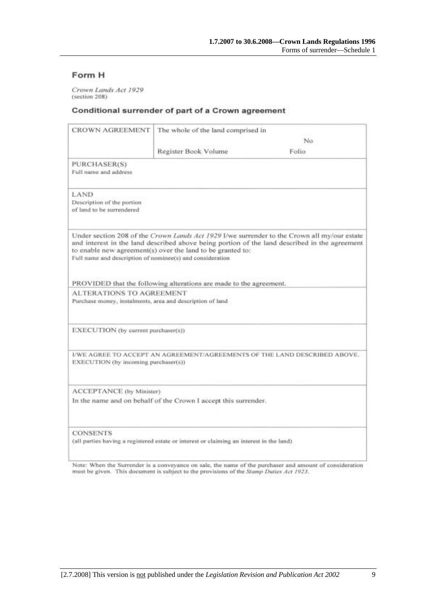### Form H

Crown Lands Act 1929 (section 208)

#### Conditional surrender of part of a Crown agreement

| CROWN AGREEMENT                                                                                             | The whole of the land comprised in                                 |                                                                                                                                                                                              |
|-------------------------------------------------------------------------------------------------------------|--------------------------------------------------------------------|----------------------------------------------------------------------------------------------------------------------------------------------------------------------------------------------|
|                                                                                                             |                                                                    | No.                                                                                                                                                                                          |
|                                                                                                             | Register Book Volume                                               | Folio.                                                                                                                                                                                       |
| PURCHASER(S)<br>Full name and address                                                                       |                                                                    |                                                                                                                                                                                              |
| LAND<br>Description of the portion<br>of land to be surrendered                                             |                                                                    |                                                                                                                                                                                              |
| Full name and description of nominee(s) and consideration                                                   | to enable new agreement(s) over the land to be granted to:         | Under section 208 of the Crown Lands Act 1929 I/we surrender to the Crown all my/our estate<br>and interest in the land described above being portion of the land described in the agreement |
|                                                                                                             | PROVIDED that the following alterations are made to the agreement. |                                                                                                                                                                                              |
| <b>ALTERATIONS TO AGREEMENT</b><br>Purchase money, instalments, area and description of land                |                                                                    |                                                                                                                                                                                              |
| EXECUTION (by current purchaser(s))                                                                         |                                                                    |                                                                                                                                                                                              |
| EXECUTION (by incoming purchaser(s))                                                                        |                                                                    | I/WE AGREE TO ACCEPT AN AGREEMENT/AGREEMENTS OF THE LAND DESCRIBED ABOVE.                                                                                                                    |
| ACCEPTANCE (by Minister)                                                                                    |                                                                    |                                                                                                                                                                                              |
|                                                                                                             | In the name and on behalf of the Crown I accept this surrender.    |                                                                                                                                                                                              |
| <b>CONSENTS</b><br>(all parties having a registered estate or interest or claiming an interest in the land) |                                                                    |                                                                                                                                                                                              |

Note: When the Surrender is a conveyance on sale, the name of the purchaser and amount of consideration must be given. This document is subject to the provisions of the Stamp Dutles Act 1923.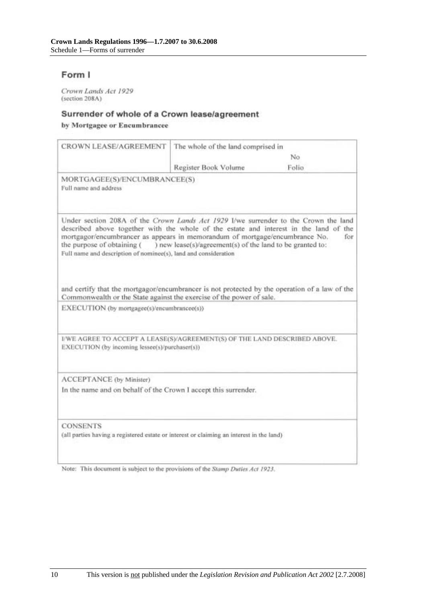## Form I

Crown Lands Act 1929 (section 208A)

#### Surrender of whole of a Crown lease/agreement

by Mortgagee or Encumbrancee

| CROWN LEASE/AGREEMENT                                                                                                                                                                                                                                                                                                                                        | The whole of the land comprised in                        |       |
|--------------------------------------------------------------------------------------------------------------------------------------------------------------------------------------------------------------------------------------------------------------------------------------------------------------------------------------------------------------|-----------------------------------------------------------|-------|
|                                                                                                                                                                                                                                                                                                                                                              |                                                           | No    |
|                                                                                                                                                                                                                                                                                                                                                              | Register Book Volume                                      | Folio |
| MORTGAGEE(S)/ENCUMBRANCEE(S)<br>Full name and address                                                                                                                                                                                                                                                                                                        |                                                           |       |
| Under section 208A of the Crown Lands Act 1929 I/we surrender to the Crown the land<br>described above together with the whole of the estate and interest in the land of the<br>mortgagor/encumbrancer as appears in memorandum of mortgage/encumbrance No.<br>the purpose of obtaining (<br>Full name and description of nominee(s), land and consideration | ) new lease(s)/agreement(s) of the land to be granted to: | for   |
| and certify that the mortgagor/encumbrancer is not protected by the operation of a law of the<br>Commonwealth or the State against the exercise of the power of sale.<br>EXECUTION (by mortgagee(s)/encumbrancee(s))                                                                                                                                         |                                                           |       |
| I/WE AGREE TO ACCEPT A LEASE(S)/AGREEMENT(S) OF THE LAND DESCRIBED ABOVE.<br>EXECUTION (by incoming lessee(s)/purchaser(s))                                                                                                                                                                                                                                  |                                                           |       |
| ACCEPTANCE (by Minister)<br>In the name and on behalf of the Crown I accept this surrender.                                                                                                                                                                                                                                                                  |                                                           |       |
| <b>CONSENTS</b><br>(all parties having a registered estate or interest or claiming an interest in the land)                                                                                                                                                                                                                                                  |                                                           |       |

Note: This document is subject to the provisions of the Stamp Duties Act 1923.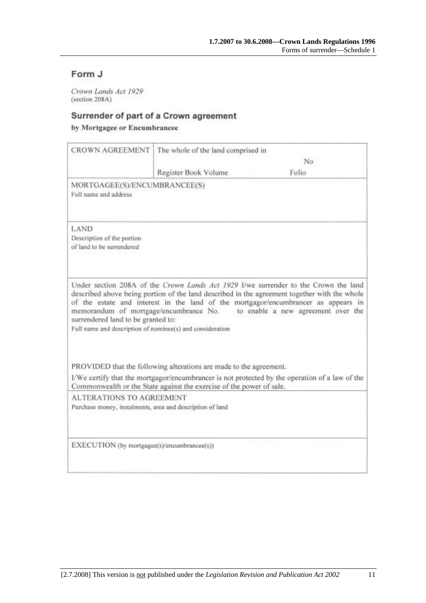# Form J

Crown Lands Act 1929 (section 208A)

## Surrender of part of a Crown agreement

by Mortgagee or Encumbrancee

| <b>CROWN AGREEMENT</b>                                                                          | The whole of the land comprised in                                   |                                                                                                                                                                                                                                                                                                                                                        |
|-------------------------------------------------------------------------------------------------|----------------------------------------------------------------------|--------------------------------------------------------------------------------------------------------------------------------------------------------------------------------------------------------------------------------------------------------------------------------------------------------------------------------------------------------|
|                                                                                                 |                                                                      | No                                                                                                                                                                                                                                                                                                                                                     |
|                                                                                                 | Register Book Volume                                                 | Folio                                                                                                                                                                                                                                                                                                                                                  |
| MORTGAGEE(S)/ENCUMBRANCEE(S)<br>Full name and address                                           |                                                                      |                                                                                                                                                                                                                                                                                                                                                        |
| LAND<br>Description of the portion<br>of land to be surrendered                                 |                                                                      |                                                                                                                                                                                                                                                                                                                                                        |
| surrendered land to be granted to:<br>Full name and description of nominee(s) and consideration |                                                                      | Under section 208A of the Crown Lands Act 1929 I/we surrender to the Crown the land<br>described above being portion of the land described in the agreement together with the whole<br>of the estate and interest in the land of the mortgagor/encumbrancer as appears in<br>memorandum of mortgage/encumbrance No. to enable a new agreement over the |
|                                                                                                 | PROVIDED that the following alterations are made to the agreement.   |                                                                                                                                                                                                                                                                                                                                                        |
|                                                                                                 | Commonwealth or the State against the exercise of the power of sale. | I/We certify that the mortgagor/encumbrancer is not protected by the operation of a law of the                                                                                                                                                                                                                                                         |
| <b>ALTERATIONS TO AGREEMENT</b><br>Purchase money, instalments, area and description of land    |                                                                      |                                                                                                                                                                                                                                                                                                                                                        |
| EXECUTION (by mortgagee(s)/encumbrancee(s))                                                     |                                                                      |                                                                                                                                                                                                                                                                                                                                                        |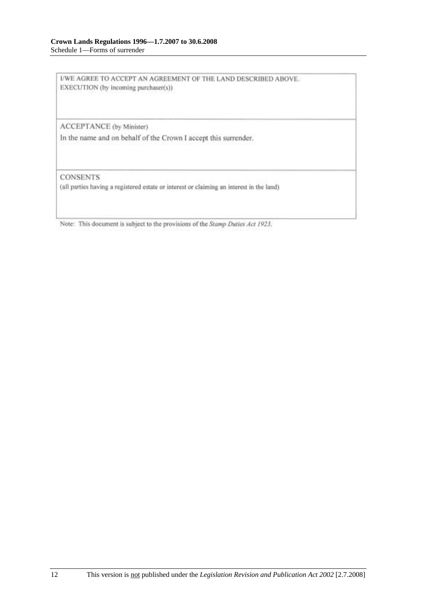I/WE AGREE TO ACCEPT AN AGREEMENT OF THE LAND DESCRIBED ABOVE. EXECUTION (by incoming purchaser(s))

ACCEPTANCE (by Minister)

In the name and on behalf of the Crown I accept this surrender.

**CONSENTS** 

(all parties having a registered estate or interest or claiming an interest in the land)

Note: This document is subject to the provisions of the Stamp Duties Act 1923.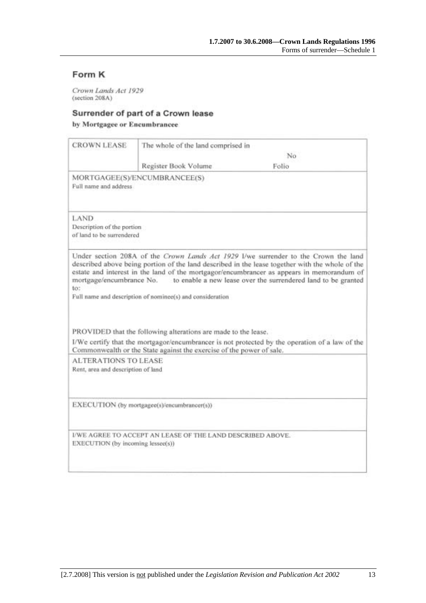# Form K

Crown Lands Act 1929 (section 208A)

#### Surrender of part of a Crown lease

by Mortgagee or Encumbrancee

|                                                                   | The whole of the land comprised in                                   |                                                                                                                                                                                                                                                                                                                                                                               |
|-------------------------------------------------------------------|----------------------------------------------------------------------|-------------------------------------------------------------------------------------------------------------------------------------------------------------------------------------------------------------------------------------------------------------------------------------------------------------------------------------------------------------------------------|
|                                                                   |                                                                      | No                                                                                                                                                                                                                                                                                                                                                                            |
|                                                                   | Register Book Volume                                                 | Folio                                                                                                                                                                                                                                                                                                                                                                         |
| Full name and address.                                            | MORTGAGEE(S)/ENCUMBRANCEE(S)                                         |                                                                                                                                                                                                                                                                                                                                                                               |
| LAND<br>Description of the portion<br>of land to be surrendered   |                                                                      |                                                                                                                                                                                                                                                                                                                                                                               |
| to:                                                               |                                                                      | Under section 208A of the Crown Lands Act 1929 I/we surrender to the Crown the land<br>described above being portion of the land described in the lease together with the whole of the<br>estate and interest in the land of the mortgagor/encumbrancer as appears in memorandum of<br>mortgage/encumbrance No. to enable a new lease over the surrendered land to be granted |
|                                                                   | Full name and description of nominee(s) and consideration            |                                                                                                                                                                                                                                                                                                                                                                               |
|                                                                   | PROVIDED that the following alterations are made to the lease.       |                                                                                                                                                                                                                                                                                                                                                                               |
|                                                                   | Commonwealth or the State against the exercise of the power of sale. | I/We certify that the mortgagor/encumbrancer is not protected by the operation of a law of the                                                                                                                                                                                                                                                                                |
| <b>ALTERATIONS TO LEASE</b><br>Rent, area and description of land |                                                                      |                                                                                                                                                                                                                                                                                                                                                                               |
|                                                                   | EXECUTION (by mortgagee(s)/encumbrancer(s))                          |                                                                                                                                                                                                                                                                                                                                                                               |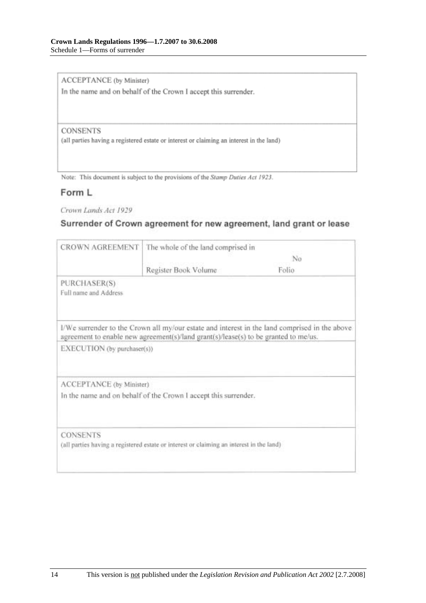ACCEPTANCE (by Minister)

In the name and on behalf of the Crown I accept this surrender.

#### **CONSENTS**

(all parties having a registered estate or interest or claiming an interest in the land)

Note: This document is subject to the provisions of the Stamp Duties Act 1923.

### Form L

Crown Lands Act 1929

### Surrender of Crown agreement for new agreement, land grant or lease

| <b>CROWN AGREEMENT</b>                | The whole of the land comprised in                                                       |                                                                                               |
|---------------------------------------|------------------------------------------------------------------------------------------|-----------------------------------------------------------------------------------------------|
|                                       | No                                                                                       |                                                                                               |
|                                       | Register Book Volume                                                                     | Folio                                                                                         |
| PURCHASER(S)<br>Full name and Address |                                                                                          |                                                                                               |
|                                       | agreement to enable new agreement(s)/land grant(s)/lease(s) to be granted to me/us.      | I/We surrender to the Crown all my/our estate and interest in the land comprised in the above |
| EXECUTION (by purchaser(s))           |                                                                                          |                                                                                               |
| ACCEPTANCE (by Minister)              |                                                                                          |                                                                                               |
|                                       | In the name and on behalf of the Crown I accept this surrender.                          |                                                                                               |
| <b>CONSENTS</b>                       |                                                                                          |                                                                                               |
|                                       | (all parties having a registered estate or interest or claiming an interest in the land) |                                                                                               |
|                                       |                                                                                          |                                                                                               |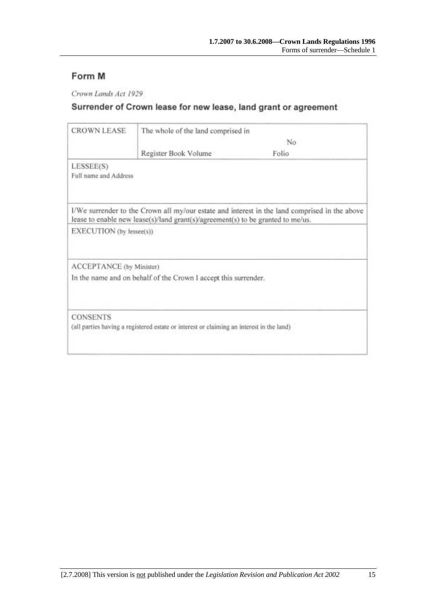# Form M

Crown Lands Act 1929

# Surrender of Crown lease for new lease, land grant or agreement

| <b>CROWN LEASE</b>       | The whole of the land comprised in                                                       |                                                                                               |  |
|--------------------------|------------------------------------------------------------------------------------------|-----------------------------------------------------------------------------------------------|--|
|                          |                                                                                          | No                                                                                            |  |
|                          | Register Book Volume                                                                     | Folio                                                                                         |  |
| LESSEE(S)                |                                                                                          |                                                                                               |  |
| Full name and Address    |                                                                                          |                                                                                               |  |
|                          | lease to enable new lease(s)/land grant(s)/agreement(s) to be granted to me/us.          | I/We surrender to the Crown all my/our estate and interest in the land comprised in the above |  |
| EXECUTION (by lessee(s)) |                                                                                          |                                                                                               |  |
| ACCEPTANCE (by Minister) |                                                                                          |                                                                                               |  |
|                          | In the name and on behalf of the Crown I accept this surrender.                          |                                                                                               |  |
| <b>CONSENTS</b>          |                                                                                          |                                                                                               |  |
|                          | (all parties having a registered estate or interest or claiming an interest in the land) |                                                                                               |  |
|                          |                                                                                          |                                                                                               |  |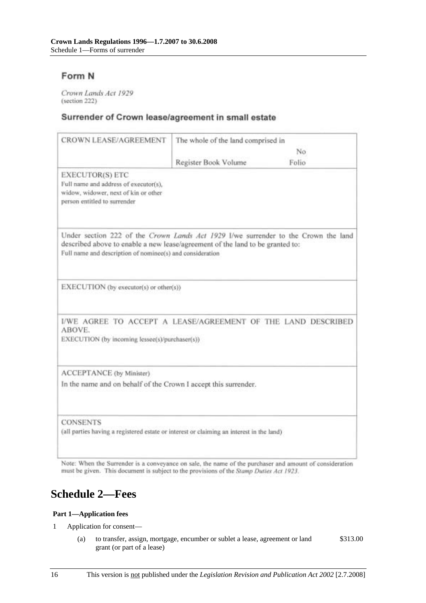## Form N

Crown Lands Act 1929 (section 222)

#### Surrender of Crown lease/agreement in small estate

| <b>CROWN LEASE/AGREEMENT</b>                                                                                                                                                                                                     | The whole of the land comprised in |       |
|----------------------------------------------------------------------------------------------------------------------------------------------------------------------------------------------------------------------------------|------------------------------------|-------|
|                                                                                                                                                                                                                                  |                                    | No    |
|                                                                                                                                                                                                                                  | Register Book Volume               | Folio |
| EXECUTOR(S) ETC<br>Full name and address of executor(s),<br>widow, widower, next of kin or other<br>person entitled to surrender                                                                                                 |                                    |       |
| Under section 222 of the Crown Lands Act 1929 I/we surrender to the Crown the land<br>described above to enable a new lease/agreement of the land to be granted to:<br>Full name and description of nominee(s) and consideration |                                    |       |
| EXECUTION (by executor(s) or other(s))                                                                                                                                                                                           |                                    |       |
| I/WE AGREE TO ACCEPT A LEASE/AGREEMENT OF THE LAND DESCRIBED<br>ABOVE.<br>EXECUTION (by incoming lessee(s)/purchaser(s))                                                                                                         |                                    |       |
| ACCEPTANCE (by Minister)<br>In the name and on behalf of the Crown I accept this surrender.                                                                                                                                      |                                    |       |
| <b>CONSENTS</b><br>(all parties having a registered estate or interest or claiming an interest in the land)                                                                                                                      |                                    |       |

Note: When the Surrender is a conveyance on sale, the name of the purchaser and amount of consideration must be given. This document is subject to the provisions of the Stamp Duties Act 1923.

# **Schedule 2—Fees**

#### **Part 1—Application fees**

- 1 Application for consent—
	- (a) to transfer, assign, mortgage, encumber or sublet a lease, agreement or land grant (or part of a lease) \$313.00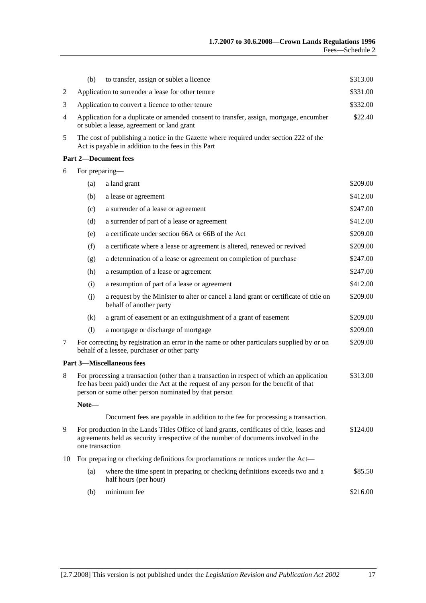|    | (b)                                                                                                                                                                                                                                        | to transfer, assign or sublet a licence                                                                                                       | \$313.00 |
|----|--------------------------------------------------------------------------------------------------------------------------------------------------------------------------------------------------------------------------------------------|-----------------------------------------------------------------------------------------------------------------------------------------------|----------|
| 2  |                                                                                                                                                                                                                                            | Application to surrender a lease for other tenure                                                                                             | \$331.00 |
| 3  | Application to convert a licence to other tenure                                                                                                                                                                                           |                                                                                                                                               |          |
| 4  | Application for a duplicate or amended consent to transfer, assign, mortgage, encumber<br>or sublet a lease, agreement or land grant                                                                                                       |                                                                                                                                               | \$22.40  |
| 5  |                                                                                                                                                                                                                                            | The cost of publishing a notice in the Gazette where required under section 222 of the<br>Act is payable in addition to the fees in this Part |          |
|    |                                                                                                                                                                                                                                            | <b>Part 2-Document fees</b>                                                                                                                   |          |
| 6  | For preparing-                                                                                                                                                                                                                             |                                                                                                                                               |          |
|    | (a)                                                                                                                                                                                                                                        | a land grant                                                                                                                                  | \$209.00 |
|    | (b)                                                                                                                                                                                                                                        | a lease or agreement                                                                                                                          | \$412.00 |
|    | (c)                                                                                                                                                                                                                                        | a surrender of a lease or agreement                                                                                                           | \$247.00 |
|    | (d)                                                                                                                                                                                                                                        | a surrender of part of a lease or agreement                                                                                                   | \$412.00 |
|    | (e)                                                                                                                                                                                                                                        | a certificate under section 66A or 66B of the Act                                                                                             | \$209.00 |
|    | (f)                                                                                                                                                                                                                                        | a certificate where a lease or agreement is altered, renewed or revived                                                                       | \$209.00 |
|    | (g)                                                                                                                                                                                                                                        | a determination of a lease or agreement on completion of purchase                                                                             | \$247.00 |
|    | (h)                                                                                                                                                                                                                                        | a resumption of a lease or agreement                                                                                                          | \$247.00 |
|    | (i)                                                                                                                                                                                                                                        | a resumption of part of a lease or agreement                                                                                                  | \$412.00 |
|    | (i)                                                                                                                                                                                                                                        | a request by the Minister to alter or cancel a land grant or certificate of title on<br>behalf of another party                               | \$209.00 |
|    | (k)                                                                                                                                                                                                                                        | a grant of easement or an extinguishment of a grant of easement                                                                               | \$209.00 |
|    | (1)                                                                                                                                                                                                                                        | a mortgage or discharge of mortgage                                                                                                           | \$209.00 |
| 7  |                                                                                                                                                                                                                                            | For correcting by registration an error in the name or other particulars supplied by or on<br>behalf of a lessee, purchaser or other party    | \$209.00 |
|    |                                                                                                                                                                                                                                            | <b>Part 3-Miscellaneous fees</b>                                                                                                              |          |
| 8  | For processing a transaction (other than a transaction in respect of which an application<br>fee has been paid) under the Act at the request of any person for the benefit of that<br>person or some other person nominated by that person |                                                                                                                                               | \$313.00 |
|    | Note-                                                                                                                                                                                                                                      |                                                                                                                                               |          |
|    |                                                                                                                                                                                                                                            | Document fees are payable in addition to the fee for processing a transaction.                                                                |          |
| 9  | For production in the Lands Titles Office of land grants, certificates of title, leases and<br>agreements held as security irrespective of the number of documents involved in the<br>one transaction                                      |                                                                                                                                               | \$124.00 |
| 10 |                                                                                                                                                                                                                                            | For preparing or checking definitions for proclamations or notices under the Act—                                                             |          |
|    | (a)                                                                                                                                                                                                                                        | where the time spent in preparing or checking definitions exceeds two and a<br>half hours (per hour)                                          | \$85.50  |
|    | (b)                                                                                                                                                                                                                                        | minimum fee                                                                                                                                   | \$216.00 |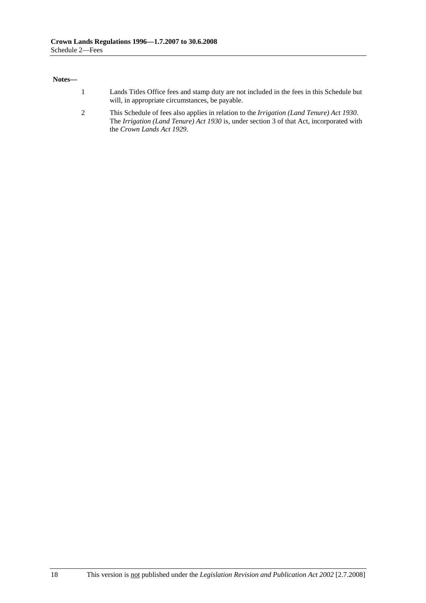#### **Notes—**

- 1 Lands Titles Office fees and stamp duty are not included in the fees in this Schedule but will, in appropriate circumstances, be payable.
- 2 This Schedule of fees also applies in relation to the *Irrigation (Land Tenure) Act 1930*. The *Irrigation (Land Tenure) Act 1930* is, under section 3 of that Act, incorporated with the *Crown Lands Act 1929*.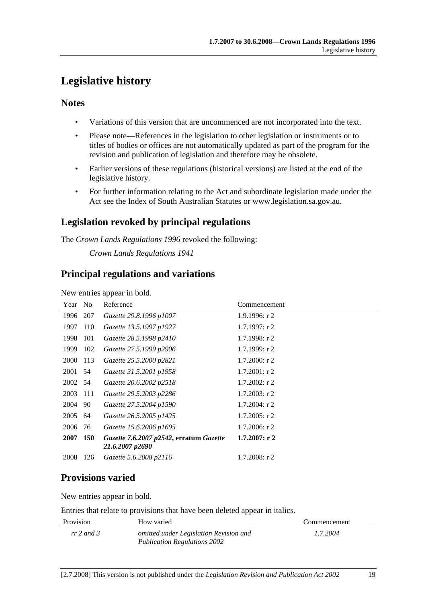# **Legislative history**

### **Notes**

- Variations of this version that are uncommenced are not incorporated into the text.
- Please note—References in the legislation to other legislation or instruments or to titles of bodies or offices are not automatically updated as part of the program for the revision and publication of legislation and therefore may be obsolete.
- Earlier versions of these regulations (historical versions) are listed at the end of the legislative history.
- For further information relating to the Act and subordinate legislation made under the Act see the Index of South Australian Statutes or www.legislation.sa.gov.au.

# **Legislation revoked by principal regulations**

The *Crown Lands Regulations 1996* revoked the following:

*Crown Lands Regulations 1941*

## **Principal regulations and variations**

New entries appear in bold.

| Year No    | Reference                                                  | Commencement     |
|------------|------------------------------------------------------------|------------------|
| 207        | Gazette 29.8.1996 p1007                                    | $1.9.1996$ : r 2 |
| 110        | Gazette 13.5.1997 p1927                                    | $1.7.1997:$ r 2  |
| -101       | Gazette 28.5.1998 p2410                                    | $1.7.1998:$ r 2  |
| 102        | Gazette 27.5.1999 p2906                                    | 1.7.1999: r2     |
| 113        | Gazette 25.5.2000 p2821                                    | $1.7.2000:$ r 2  |
| 2001<br>54 | Gazette 31.5.2001 p1958                                    | $1.7.2001$ : r 2 |
| 2002 54    | Gazette 20.6.2002 p2518                                    | $1.7.2002:$ r 2  |
| 111        | Gazette 29.5.2003 p2286                                    | $1.7.2003$ : r 2 |
| 2004 90    | Gazette 27.5.2004 p1590                                    | $1.7.2004$ : r 2 |
| 64         | Gazette 26.5.2005 p1425                                    | $1.7.2005$ : r 2 |
| 2006 76    | Gazette 15.6.2006 p1695                                    | $1.7.2006$ : r 2 |
| <b>150</b> | Gazette 7.6.2007 p2542, erratum Gazette<br>21.6.2007 p2690 | 1.7.2007: r2     |
| 126        | Gazette 5.6.2008 p2116                                     | $1.7.2008$ : r 2 |
|            |                                                            |                  |

# **Provisions varied**

New entries appear in bold.

Entries that relate to provisions that have been deleted appear in italics.

| Provision    | How varied                             | Commencement |
|--------------|----------------------------------------|--------------|
| $rr$ 2 and 3 | omitted under Legislation Revision and | 1.7.2004     |
|              | <b>Publication Regulations 2002</b>    |              |